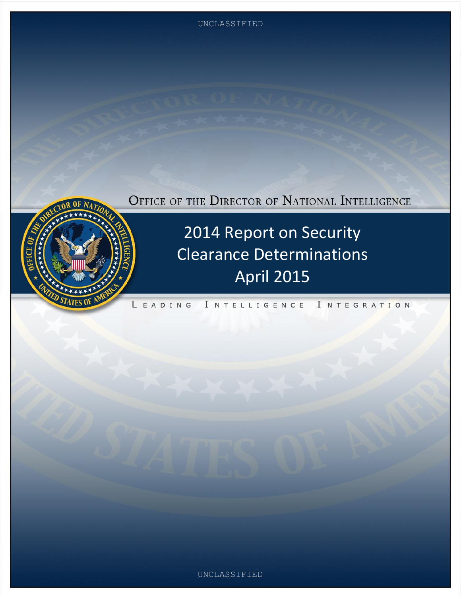UNCLASSIFIED

# OFFICE OF THE DIRECTOR OF NATIONAL INTELLIGENCE



2014 Report on Security Clearance Determinations April 2015

INTELLIGENCE I NTEGRATION EADING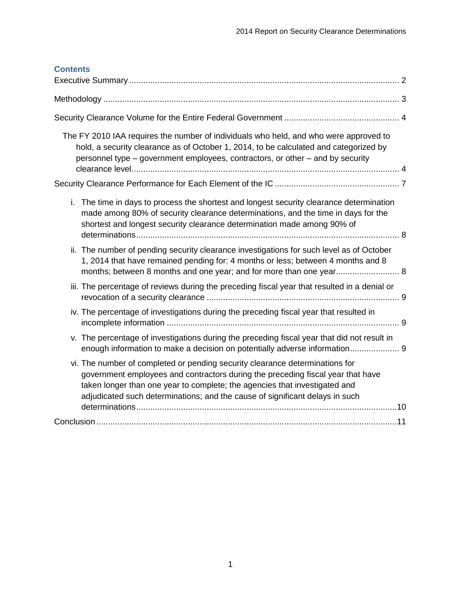| <b>Contents</b>                                                                                                                                                                                                                                                                                                               |  |
|-------------------------------------------------------------------------------------------------------------------------------------------------------------------------------------------------------------------------------------------------------------------------------------------------------------------------------|--|
|                                                                                                                                                                                                                                                                                                                               |  |
|                                                                                                                                                                                                                                                                                                                               |  |
| The FY 2010 IAA requires the number of individuals who held, and who were approved to<br>hold, a security clearance as of October 1, 2014, to be calculated and categorized by<br>personnel type – government employees, contractors, or other – and by security                                                              |  |
|                                                                                                                                                                                                                                                                                                                               |  |
| i. The time in days to process the shortest and longest security clearance determination<br>made among 80% of security clearance determinations, and the time in days for the<br>shortest and longest security clearance determination made among 90% of                                                                      |  |
| ii. The number of pending security clearance investigations for such level as of October<br>1, 2014 that have remained pending for: 4 months or less; between 4 months and 8<br>months; between 8 months and one year; and for more than one year 8                                                                           |  |
| iii. The percentage of reviews during the preceding fiscal year that resulted in a denial or                                                                                                                                                                                                                                  |  |
| iv. The percentage of investigations during the preceding fiscal year that resulted in                                                                                                                                                                                                                                        |  |
| v. The percentage of investigations during the preceding fiscal year that did not result in<br>enough information to make a decision on potentially adverse information 9                                                                                                                                                     |  |
| vi. The number of completed or pending security clearance determinations for<br>government employees and contractors during the preceding fiscal year that have<br>taken longer than one year to complete; the agencies that investigated and<br>adjudicated such determinations; and the cause of significant delays in such |  |
|                                                                                                                                                                                                                                                                                                                               |  |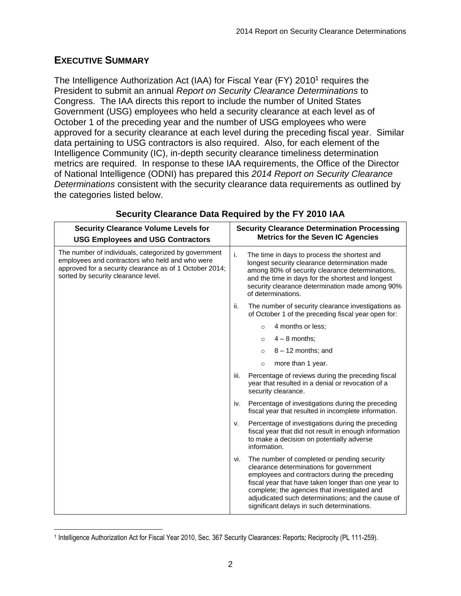### <span id="page-2-0"></span>**EXECUTIVE SUMMARY**

The Intelligence Authorization Act (IAA) for Fiscal Year (FY) 2010<sup>1</sup> requires the President to submit an annual *Report on Security Clearance Determinations* to Congress. The IAA directs this report to include the number of United States Government (USG) employees who held a security clearance at each level as of October 1 of the preceding year and the number of USG employees who were approved for a security clearance at each level during the preceding fiscal year. Similar data pertaining to USG contractors is also required. Also, for each element of the Intelligence Community (IC), in-depth security clearance timeliness determination metrics are required. In response to these IAA requirements, the Office of the Director of National Intelligence (ODNI) has prepared this *2014 Report on Security Clearance Determinations* consistent with the security clearance data requirements as outlined by the categories listed below.

| <b>Security Clearance Volume Levels for</b><br><b>USG Employees and USG Contractors</b>                                                                                                                   | <b>Security Clearance Determination Processing</b><br><b>Metrics for the Seven IC Agencies</b>                                                                                                                                                                                                                                                            |
|-----------------------------------------------------------------------------------------------------------------------------------------------------------------------------------------------------------|-----------------------------------------------------------------------------------------------------------------------------------------------------------------------------------------------------------------------------------------------------------------------------------------------------------------------------------------------------------|
| The number of individuals, categorized by government<br>employees and contractors who held and who were<br>approved for a security clearance as of 1 October 2014;<br>sorted by security clearance level. | j.<br>The time in days to process the shortest and<br>longest security clearance determination made<br>among 80% of security clearance determinations,<br>and the time in days for the shortest and longest<br>security clearance determination made among 90%<br>of determinations.                                                                      |
|                                                                                                                                                                                                           | ii.<br>The number of security clearance investigations as<br>of October 1 of the preceding fiscal year open for:                                                                                                                                                                                                                                          |
|                                                                                                                                                                                                           | 4 months or less;<br>$\circ$                                                                                                                                                                                                                                                                                                                              |
|                                                                                                                                                                                                           | $4 - 8$ months:<br>$\circ$                                                                                                                                                                                                                                                                                                                                |
|                                                                                                                                                                                                           | $8 - 12$ months; and<br>$\circ$                                                                                                                                                                                                                                                                                                                           |
|                                                                                                                                                                                                           | more than 1 year.<br>$\circ$                                                                                                                                                                                                                                                                                                                              |
|                                                                                                                                                                                                           | iii.<br>Percentage of reviews during the preceding fiscal<br>year that resulted in a denial or revocation of a<br>security clearance.                                                                                                                                                                                                                     |
|                                                                                                                                                                                                           | Percentage of investigations during the preceding<br>iv.<br>fiscal year that resulted in incomplete information.                                                                                                                                                                                                                                          |
|                                                                                                                                                                                                           | Percentage of investigations during the preceding<br>v.<br>fiscal year that did not result in enough information<br>to make a decision on potentially adverse<br>information.                                                                                                                                                                             |
|                                                                                                                                                                                                           | The number of completed or pending security<br>vi.<br>clearance determinations for government<br>employees and contractors during the preceding<br>fiscal year that have taken longer than one year to<br>complete; the agencies that investigated and<br>adjudicated such determinations; and the cause of<br>significant delays in such determinations. |

#### **Security Clearance Data Required by the FY 2010 IAA**

 1 Intelligence Authorization Act for Fiscal Year 2010, Sec. 367 Security Clearances: Reports; Reciprocity (PL 111-259).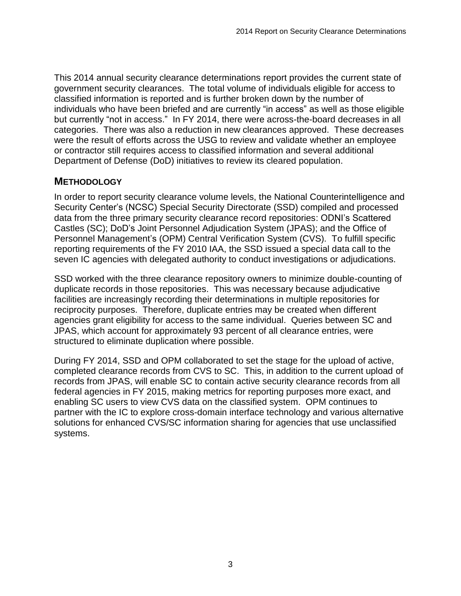This 2014 annual security clearance determinations report provides the current state of government security clearances. The total volume of individuals eligible for access to classified information is reported and is further broken down by the number of individuals who have been briefed and are currently "in access" as well as those eligible but currently "not in access." In FY 2014, there were across-the-board decreases in all categories. There was also a reduction in new clearances approved. These decreases were the result of efforts across the USG to review and validate whether an employee or contractor still requires access to classified information and several additional Department of Defense (DoD) initiatives to review its cleared population.

#### <span id="page-3-0"></span>**METHODOLOGY**

In order to report security clearance volume levels, the National Counterintelligence and Security Center's (NCSC) Special Security Directorate (SSD) compiled and processed data from the three primary security clearance record repositories: ODNI's Scattered Castles (SC); DoD's Joint Personnel Adjudication System (JPAS); and the Office of Personnel Management's (OPM) Central Verification System (CVS). To fulfill specific reporting requirements of the FY 2010 IAA, the SSD issued a special data call to the seven IC agencies with delegated authority to conduct investigations or adjudications.

SSD worked with the three clearance repository owners to minimize double-counting of duplicate records in those repositories. This was necessary because adjudicative facilities are increasingly recording their determinations in multiple repositories for reciprocity purposes. Therefore, duplicate entries may be created when different agencies grant eligibility for access to the same individual. Queries between SC and JPAS, which account for approximately 93 percent of all clearance entries, were structured to eliminate duplication where possible.

During FY 2014, SSD and OPM collaborated to set the stage for the upload of active, completed clearance records from CVS to SC. This, in addition to the current upload of records from JPAS, will enable SC to contain active security clearance records from all federal agencies in FY 2015, making metrics for reporting purposes more exact, and enabling SC users to view CVS data on the classified system. OPM continues to partner with the IC to explore cross-domain interface technology and various alternative solutions for enhanced CVS/SC information sharing for agencies that use unclassified systems.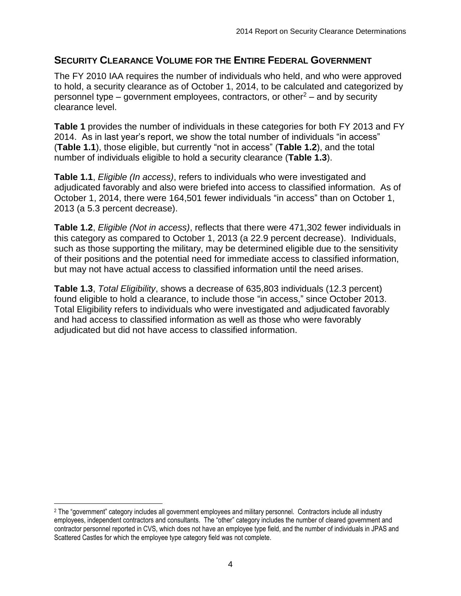#### <span id="page-4-0"></span>**SECURITY CLEARANCE VOLUME FOR THE ENTIRE FEDERAL GOVERNMENT**

<span id="page-4-1"></span>The FY 2010 IAA requires the number of individuals who held, and who were approved to hold, a security clearance as of October 1, 2014, to be calculated and categorized by personnel type – government employees, contractors, or other<sup>2</sup> – and by security clearance level.

**Table 1** provides the number of individuals in these categories for both FY 2013 and FY 2014. As in last year's report, we show the total number of individuals "in access" (**Table 1.1**), those eligible, but currently "not in access" (**Table 1.2**), and the total number of individuals eligible to hold a security clearance (**Table 1.3**).

**Table 1.1**, *Eligible (In access)*, refers to individuals who were investigated and adjudicated favorably and also were briefed into access to classified information. As of October 1, 2014, there were 164,501 fewer individuals "in access" than on October 1, 2013 (a 5.3 percent decrease).

**Table 1.2**, *Eligible (Not in access)*, reflects that there were 471,302 fewer individuals in this category as compared to October 1, 2013 (a 22.9 percent decrease). Individuals, such as those supporting the military, may be determined eligible due to the sensitivity of their positions and the potential need for immediate access to classified information, but may not have actual access to classified information until the need arises.

**Table 1.3**, *Total Eligibility*, shows a decrease of 635,803 individuals (12.3 percent) found eligible to hold a clearance, to include those "in access," since October 2013. Total Eligibility refers to individuals who were investigated and adjudicated favorably and had access to classified information as well as those who were favorably adjudicated but did not have access to classified information.

 <sup>2</sup> The "government" category includes all government employees and military personnel. Contractors include all industry employees, independent contractors and consultants. The "other" category includes the number of cleared government and contractor personnel reported in CVS, which does not have an employee type field, and the number of individuals in JPAS and Scattered Castles for which the employee type category field was not complete.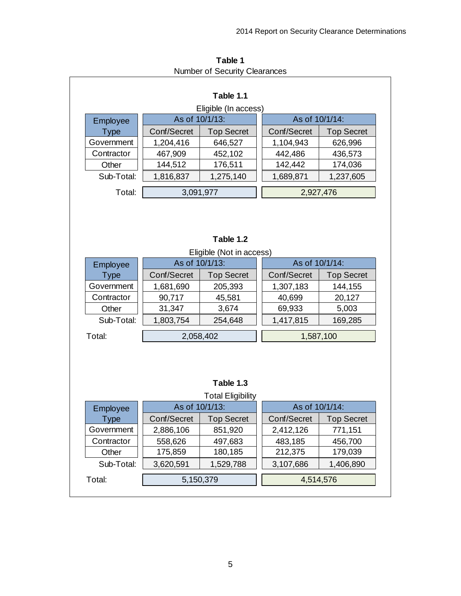| Table 1.1                             |                      |                                       |           |                |                   |  |  |  |  |
|---------------------------------------|----------------------|---------------------------------------|-----------|----------------|-------------------|--|--|--|--|
| Eligible (In access)                  |                      |                                       |           |                |                   |  |  |  |  |
| Employee                              | As of 10/1/13:       |                                       |           | As of 10/1/14: |                   |  |  |  |  |
| <b>Type</b>                           | Conf/Secret          | <b>Top Secret</b>                     |           | Conf/Secret    | <b>Top Secret</b> |  |  |  |  |
| Government                            | 1,204,416            | 646,527                               |           | 1,104,943      | 626,996           |  |  |  |  |
| Contractor                            | 467,909              | 452,102                               |           | 442,486        | 436,573           |  |  |  |  |
| Other                                 | 144,512              | 176,511                               |           | 142,442        | 174,036           |  |  |  |  |
| Sub-Total:                            | 1,816,837            | 1,275,140                             |           | 1,689,871      | 1,237,605         |  |  |  |  |
| Total:                                | 3,091,977            |                                       |           | 2,927,476      |                   |  |  |  |  |
|                                       |                      | Table 1.2<br>Eligible (Not in access) |           |                |                   |  |  |  |  |
| Employee                              |                      | As of 10/1/13:                        |           |                | As of 10/1/14:    |  |  |  |  |
| <b>Type</b>                           | Conf/Secret          | <b>Top Secret</b>                     |           | Conf/Secret    | <b>Top Secret</b> |  |  |  |  |
| Government                            | 1,681,690            | 205,393                               |           | 1,307,183      | 144,155           |  |  |  |  |
| Contractor                            | 90,717               | 45,581                                |           | 40,699         | 20,127            |  |  |  |  |
| Other                                 | 31,347               | 3,674                                 |           | 69,933         | 5,003             |  |  |  |  |
| Sub-Total:                            | 1,803,754<br>254,648 |                                       |           | 1,417,815      | 169,285           |  |  |  |  |
| Total:                                | 2,058,402            |                                       | 1,587,100 |                |                   |  |  |  |  |
| Table 1.3<br><b>Total Eligibility</b> |                      |                                       |           |                |                   |  |  |  |  |
| Employee                              | As of 10/1/13:       |                                       |           | As of 10/1/14: |                   |  |  |  |  |
| <b>Type</b>                           | Conf/Secret          | <b>Top Secret</b>                     |           | Conf/Secret    | <b>Top Secret</b> |  |  |  |  |
| Government                            | 2,886,106            | 851,920                               |           | 2,412,126      | 771,151           |  |  |  |  |
| Contractor                            | 558,626              | 497,683                               |           | 483,185        | 456,700           |  |  |  |  |
| Other                                 | 175,859              | 180,185                               |           | 212,375        | 179,039           |  |  |  |  |
| Sub-Total:                            | 3,620,591            | 1,529,788                             |           | 3,107,686      | 1,406,890         |  |  |  |  |

**Table 1** Number of Security Clearances

5,150,379 4,514,576

Total: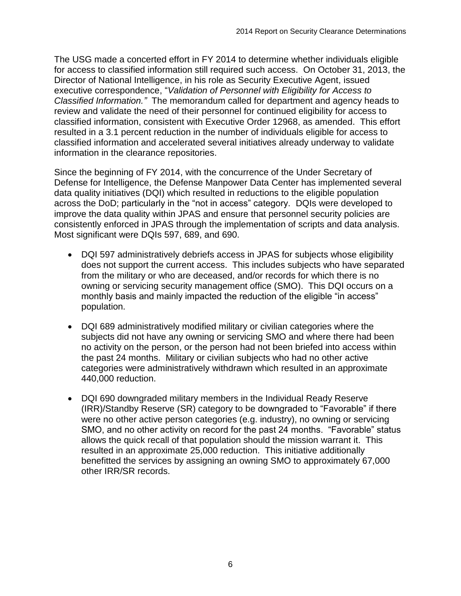The USG made a concerted effort in FY 2014 to determine whether individuals eligible for access to classified information still required such access. On October 31, 2013, the Director of National Intelligence, in his role as Security Executive Agent, issued executive correspondence, "*Validation of Personnel with Eligibility for Access to Classified Information."* The memorandum called for department and agency heads to review and validate the need of their personnel for continued eligibility for access to classified information, consistent with Executive Order 12968, as amended. This effort resulted in a 3.1 percent reduction in the number of individuals eligible for access to classified information and accelerated several initiatives already underway to validate information in the clearance repositories.

Since the beginning of FY 2014, with the concurrence of the Under Secretary of Defense for Intelligence, the Defense Manpower Data Center has implemented several data quality initiatives (DQI) which resulted in reductions to the eligible population across the DoD; particularly in the "not in access" category. DQIs were developed to improve the data quality within JPAS and ensure that personnel security policies are consistently enforced in JPAS through the implementation of scripts and data analysis. Most significant were DQIs 597, 689, and 690.

- DQI 597 administratively debriefs access in JPAS for subjects whose eligibility does not support the current access. This includes subjects who have separated from the military or who are deceased, and/or records for which there is no owning or servicing security management office (SMO). This DQI occurs on a monthly basis and mainly impacted the reduction of the eligible "in access" population.
- DQI 689 administratively modified military or civilian categories where the subjects did not have any owning or servicing SMO and where there had been no activity on the person, or the person had not been briefed into access within the past 24 months. Military or civilian subjects who had no other active categories were administratively withdrawn which resulted in an approximate 440,000 reduction.
- DQI 690 downgraded military members in the Individual Ready Reserve (IRR)/Standby Reserve (SR) category to be downgraded to "Favorable" if there were no other active person categories (e.g. industry), no owning or servicing SMO, and no other activity on record for the past 24 months. "Favorable" status allows the quick recall of that population should the mission warrant it. This resulted in an approximate 25,000 reduction. This initiative additionally benefitted the services by assigning an owning SMO to approximately 67,000 other IRR/SR records.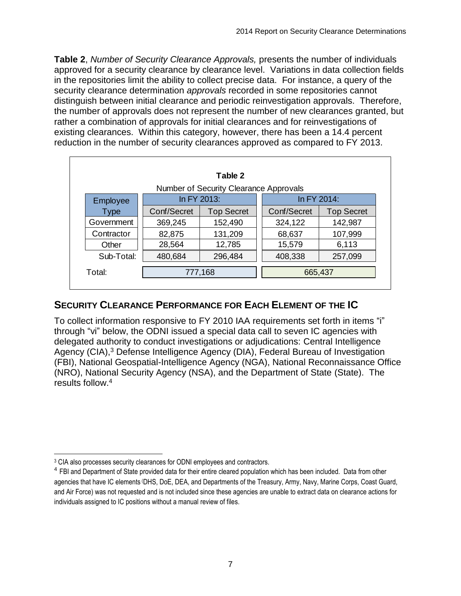**Table 2**, *Number of Security Clearance Approvals,* presents the number of individuals approved for a security clearance by clearance level. Variations in data collection fields in the repositories limit the ability to collect precise data. For instance, a query of the security clearance determination *approvals* recorded in some repositories cannot distinguish between initial clearance and periodic reinvestigation approvals. Therefore, the number of approvals does not represent the number of new clearances granted, but rather a combination of approvals for initial clearances and for reinvestigations of existing clearances. Within this category, however, there has been a 14.4 percent reduction in the number of security clearances approved as compared to FY 2013.

| Table 2    |             |                                        |             |                   |  |  |  |  |  |
|------------|-------------|----------------------------------------|-------------|-------------------|--|--|--|--|--|
|            |             | Number of Security Clearance Approvals |             |                   |  |  |  |  |  |
| Employee   |             | In FY 2013:                            |             | In FY 2014:       |  |  |  |  |  |
| Type       | Conf/Secret | <b>Top Secret</b>                      | Conf/Secret | <b>Top Secret</b> |  |  |  |  |  |
| Government | 369,245     | 152,490                                | 324,122     | 142,987           |  |  |  |  |  |
| Contractor | 82,875      | 131,209                                | 68,637      | 107,999           |  |  |  |  |  |
| Other      | 28,564      | 12,785                                 | 15,579      | 6,113             |  |  |  |  |  |
| Sub-Total: | 480,684     | 296,484                                | 408,338     | 257,099           |  |  |  |  |  |
| Total:     | 777,168     |                                        |             | 665,437           |  |  |  |  |  |

# <span id="page-7-0"></span>**SECURITY CLEARANCE PERFORMANCE FOR EACH ELEMENT OF THE IC**

To collect information responsive to FY 2010 IAA requirements set forth in items "i" through "vi" below, the ODNI issued a special data call to seven IC agencies with delegated authority to conduct investigations or adjudications: Central Intelligence Agency (CIA),<sup>3</sup> Defense Intelligence Agency (DIA), Federal Bureau of Investigation (FBI), National Geospatial-Intelligence Agency (NGA), National Reconnaissance Office (NRO), National Security Agency (NSA), and the Department of State (State). The results follow. 4

 <sup>3</sup> CIA also processes security clearances for ODNI employees and contractors.

<sup>&</sup>lt;sup>4</sup> FBI and Department of State provided data for their entire cleared population which has been included. Data from other agencies that have IC elements (DHS, DoE, DEA, and Departments of the Treasury, Army, Navy, Marine Corps, Coast Guard, and Air Force) was not requested and is not included since these agencies are unable to extract data on clearance actions for individuals assigned to IC positions without a manual review of files.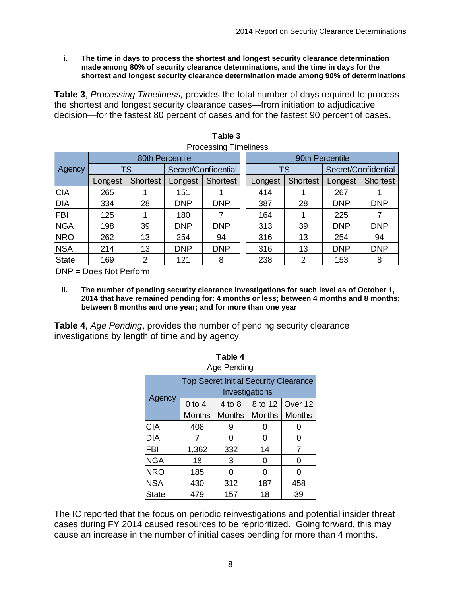<span id="page-8-0"></span>**i. The time in days to process the shortest and longest security clearance determination made among 80% of security clearance determinations, and the time in days for the shortest and longest security clearance determination made among 90% of determinations**

**Table 3**, *Processing Timeliness,* provides the total number of days required to process the shortest and longest security clearance cases—from initiation to adjudicative decision—for the fastest 80 percent of cases and for the fastest 90 percent of cases.

| Table 3                      |         |                 |                     |            |                 |           |                 |                     |                 |  |  |  |  |
|------------------------------|---------|-----------------|---------------------|------------|-----------------|-----------|-----------------|---------------------|-----------------|--|--|--|--|
| <b>Processing Timeliness</b> |         |                 |                     |            |                 |           |                 |                     |                 |  |  |  |  |
|                              |         | 80th Percentile |                     |            | 90th Percentile |           |                 |                     |                 |  |  |  |  |
| Agency                       |         | TS              | Secret/Confidential |            |                 | <b>TS</b> |                 | Secret/Confidential |                 |  |  |  |  |
|                              | Longest | <b>Shortest</b> | Longest             | Shortest   |                 |           | <b>Shortest</b> | Longest             | <b>Shortest</b> |  |  |  |  |
| <b>CIA</b>                   | 265     |                 | 151                 |            |                 | 414       |                 | 267                 |                 |  |  |  |  |
| <b>DIA</b>                   | 334     | 28              | <b>DNP</b>          | <b>DNP</b> |                 | 387       | 28              | <b>DNP</b>          | <b>DNP</b>      |  |  |  |  |
| <b>FBI</b>                   | 125     |                 | 180                 | 7          |                 | 164       |                 | 225                 |                 |  |  |  |  |
| <b>NGA</b>                   | 198     | 39              | <b>DNP</b>          | <b>DNP</b> |                 | 313       | 39              | <b>DNP</b>          | <b>DNP</b>      |  |  |  |  |
| <b>NRO</b>                   | 262     | 13              | 254                 | 94         |                 | 316       | 13              | 254                 | 94              |  |  |  |  |
| <b>NSA</b>                   | 214     | 13              | <b>DNP</b>          | <b>DNP</b> |                 | 316       | 13              | <b>DNP</b>          | <b>DNP</b>      |  |  |  |  |
| <b>State</b>                 | 169     | 2               | 121                 | 8          |                 | 238       | 2               | 153                 | 8               |  |  |  |  |

| Table 3               |  |
|-----------------------|--|
| Desaassina Timalingas |  |

DNP = Does Not Perform

<span id="page-8-1"></span>**ii. The number of pending security clearance investigations for such level as of October 1, 2014 that have remained pending for: 4 months or less; between 4 months and 8 months; between 8 months and one year; and for more than one year**

**Table 4**

**Table 4**, *Age Pending*, provides the number of pending security clearance investigations by length of time and by agency.

| Age Pending  |                                                                |                         |         |         |  |  |  |  |  |  |  |
|--------------|----------------------------------------------------------------|-------------------------|---------|---------|--|--|--|--|--|--|--|
|              | <b>Top Secret Initial Security Clearance</b><br>Investigations |                         |         |         |  |  |  |  |  |  |  |
| Agency       | $0$ to 4                                                       | $4$ to $8$              | 8 to 12 | Over 12 |  |  |  |  |  |  |  |
|              | <b>Months</b>                                                  | Months<br><b>Months</b> |         |         |  |  |  |  |  |  |  |
| <b>CIA</b>   | 408                                                            | 9                       |         | 0       |  |  |  |  |  |  |  |
| <b>DIA</b>   | 7                                                              | ი                       | O       | 0       |  |  |  |  |  |  |  |
| <b>FBI</b>   | 1,362                                                          | 332                     | 14      | 7       |  |  |  |  |  |  |  |
| <b>NGA</b>   | 18                                                             | 3                       | O       | ი       |  |  |  |  |  |  |  |
| <b>NRO</b>   | 185                                                            | ი                       | ი       | 0       |  |  |  |  |  |  |  |
| <b>NSA</b>   | 430                                                            | 312                     | 187     | 458     |  |  |  |  |  |  |  |
| <b>State</b> | 479                                                            | 157                     | 18      | 39      |  |  |  |  |  |  |  |

The IC reported that the focus on periodic reinvestigations and potential insider threat cases during FY 2014 caused resources to be reprioritized. Going forward, this may cause an increase in the number of initial cases pending for more than 4 months.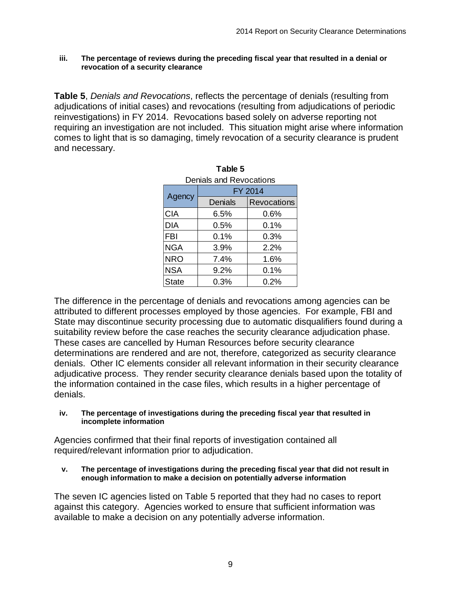#### <span id="page-9-0"></span>**iii. The percentage of reviews during the preceding fiscal year that resulted in a denial or revocation of a security clearance**

**Table 5**, *Denials and Revocations*, reflects the percentage of denials (resulting from adjudications of initial cases) and revocations (resulting from adjudications of periodic reinvestigations) in FY 2014. Revocations based solely on adverse reporting not requiring an investigation are not included. This situation might arise where information comes to light that is so damaging, timely revocation of a security clearance is prudent and necessary.

**Table 5** 

| l able 5                |         |                    |  |  |  |  |  |  |  |  |
|-------------------------|---------|--------------------|--|--|--|--|--|--|--|--|
| Denials and Revocations |         |                    |  |  |  |  |  |  |  |  |
|                         | FY 2014 |                    |  |  |  |  |  |  |  |  |
| Agency                  | Denials | <b>Revocations</b> |  |  |  |  |  |  |  |  |
| <b>CIA</b>              | 6.5%    | 0.6%               |  |  |  |  |  |  |  |  |
| <b>DIA</b>              | 0.5%    | $0.1\%$            |  |  |  |  |  |  |  |  |
| <b>FBI</b>              | $0.1\%$ | 0.3%               |  |  |  |  |  |  |  |  |
| <b>NGA</b>              | 3.9%    | 2.2%               |  |  |  |  |  |  |  |  |
| <b>NRO</b>              | $7.4\%$ | 1.6%               |  |  |  |  |  |  |  |  |
| <b>NSA</b>              | 9.2%    | 0.1%               |  |  |  |  |  |  |  |  |
| <b>State</b>            | 0.3%    | 0.2%               |  |  |  |  |  |  |  |  |

The difference in the percentage of denials and revocations among agencies can be attributed to different processes employed by those agencies. For example, FBI and State may discontinue security processing due to automatic disqualifiers found during a suitability review before the case reaches the security clearance adjudication phase. These cases are cancelled by Human Resources before security clearance determinations are rendered and are not, therefore, categorized as security clearance denials. Other IC elements consider all relevant information in their security clearance adjudicative process. They render security clearance denials based upon the totality of the information contained in the case files, which results in a higher percentage of denials.

#### <span id="page-9-1"></span>**iv. The percentage of investigations during the preceding fiscal year that resulted in incomplete information**

Agencies confirmed that their final reports of investigation contained all required/relevant information prior to adjudication.

<span id="page-9-2"></span>**v. The percentage of investigations during the preceding fiscal year that did not result in enough information to make a decision on potentially adverse information**

The seven IC agencies listed on Table 5 reported that they had no cases to report against this category. Agencies worked to ensure that sufficient information was available to make a decision on any potentially adverse information.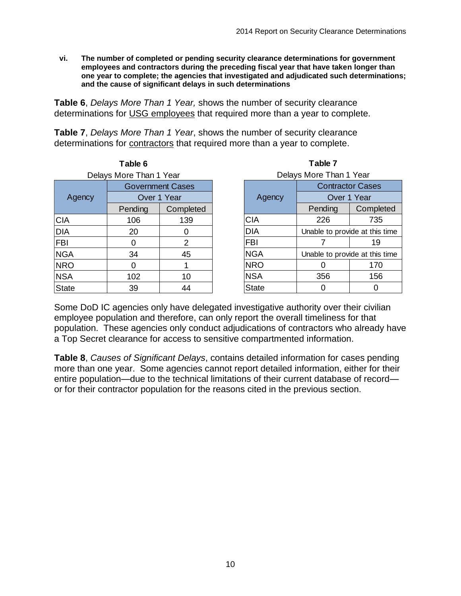<span id="page-10-0"></span>**vi. The number of completed or pending security clearance determinations for government employees and contractors during the preceding fiscal year that have taken longer than one year to complete; the agencies that investigated and adjudicated such determinations; and the cause of significant delays in such determinations**

**Table 6**, *Delays More Than 1 Year,* shows the number of security clearance determinations for USG employees that required more than a year to complete.

**Table 7**, *Delays More Than 1 Year*, shows the number of security clearance determinations for contractors that required more than a year to complete.

| Table 6                 |             |                |  |  |  |  |  |  |  |
|-------------------------|-------------|----------------|--|--|--|--|--|--|--|
| Delays More Than 1 Year |             |                |  |  |  |  |  |  |  |
| <b>Government Cases</b> |             |                |  |  |  |  |  |  |  |
| Agency                  | Over 1 Year |                |  |  |  |  |  |  |  |
|                         | Pending     | Completed      |  |  |  |  |  |  |  |
| <b>CIA</b>              | 106         | 139            |  |  |  |  |  |  |  |
| <b>DIA</b>              | 20          | ი              |  |  |  |  |  |  |  |
| <b>FBI</b>              |             | $\overline{2}$ |  |  |  |  |  |  |  |
| <b>NGA</b>              | 34          | 45             |  |  |  |  |  |  |  |
| <b>NRO</b>              | U           | 1              |  |  |  |  |  |  |  |
| <b>NSA</b>              | 102         | 10             |  |  |  |  |  |  |  |
| <b>State</b>            | 39          | 44             |  |  |  |  |  |  |  |

| Table 7                 |                                |                                |  |  |  |  |  |  |
|-------------------------|--------------------------------|--------------------------------|--|--|--|--|--|--|
| Delays More Than 1 Year |                                |                                |  |  |  |  |  |  |
| <b>Contractor Cases</b> |                                |                                |  |  |  |  |  |  |
| Agency                  | Over 1 Year                    |                                |  |  |  |  |  |  |
|                         | Pending                        | Completed                      |  |  |  |  |  |  |
| <b>CIA</b>              | 226                            | 735                            |  |  |  |  |  |  |
| DIA                     | Unable to provide at this time |                                |  |  |  |  |  |  |
| <b>FBI</b>              |                                | 19                             |  |  |  |  |  |  |
| <b>NGA</b>              |                                | Unable to provide at this time |  |  |  |  |  |  |
| <b>NRO</b>              |                                | 170                            |  |  |  |  |  |  |
| <b>NSA</b>              | 356                            | 156                            |  |  |  |  |  |  |
| State                   |                                |                                |  |  |  |  |  |  |

Some DoD IC agencies only have delegated investigative authority over their civilian employee population and therefore, can only report the overall timeliness for that population. These agencies only conduct adjudications of contractors who already have a Top Secret clearance for access to sensitive compartmented information.

**Table 8**, *Causes of Significant Delays*, contains detailed information for cases pending more than one year. Some agencies cannot report detailed information, either for their entire population—due to the technical limitations of their current database of record or for their contractor population for the reasons cited in the previous section.